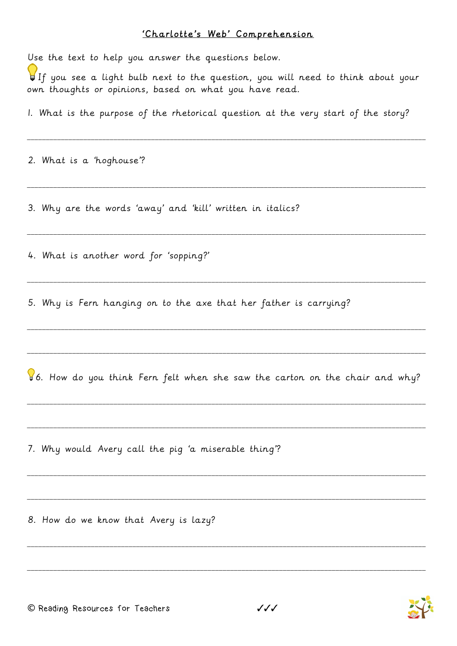## 'Charlotte's Web' Comprehension

Use the text to help you answer the questions below.  $\bigcup_{i=1}^n f$  you see a light bulb next to the question, you will need to think about your own thoughts or opinions, based on what you have read. I. What is the purpose of the rhetorical question at the very start of the story? 2. What is a 'hoghouse'? 3. Why are the words 'away' and 'kill' written in italics? 4. What is another word for 'sopping?' 5. Why is Fern hanging on to the axe that her father is carrying? 86. How do you think Fern felt when she saw the carton on the chair and why? 7. Why would Avery call the pig 'a miserable thing'?

8. How do we know that Avery is lazy?